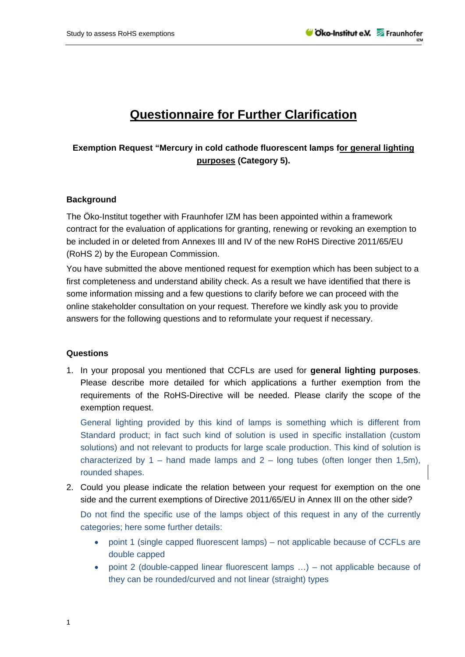## **Questionnaire for Further Clarification**

## **Exemption Request "Mercury in cold cathode fluorescent lamps for general lighting purposes (Category 5).**

## **Background**

The Öko-Institut together with Fraunhofer IZM has been appointed within a framework contract for the evaluation of applications for granting, renewing or revoking an exemption to be included in or deleted from Annexes III and IV of the new RoHS Directive 2011/65/EU (RoHS 2) by the European Commission.

You have submitted the above mentioned request for exemption which has been subject to a first completeness and understand ability check. As a result we have identified that there is some information missing and a few questions to clarify before we can proceed with the online stakeholder consultation on your request. Therefore we kindly ask you to provide answers for the following questions and to reformulate your request if necessary.

## **Questions**

1. In your proposal you mentioned that CCFLs are used for **general lighting purposes**. Please describe more detailed for which applications a further exemption from the requirements of the RoHS-Directive will be needed. Please clarify the scope of the exemption request.

General lighting provided by this kind of lamps is something which is different from Standard product; in fact such kind of solution is used in specific installation (custom solutions) and not relevant to products for large scale production. This kind of solution is characterized by 1 – hand made lamps and 2 – long tubes (often longer then 1,5m), rounded shapes.

2. Could you please indicate the relation between your request for exemption on the one side and the current exemptions of Directive 2011/65/EU in Annex III on the other side?

Do not find the specific use of the lamps object of this request in any of the currently categories; here some further details:

- point 1 (single capped fluorescent lamps) not applicable because of CCFLs are double capped
- point 2 (double-capped linear fluorescent lamps …) not applicable because of they can be rounded/curved and not linear (straight) types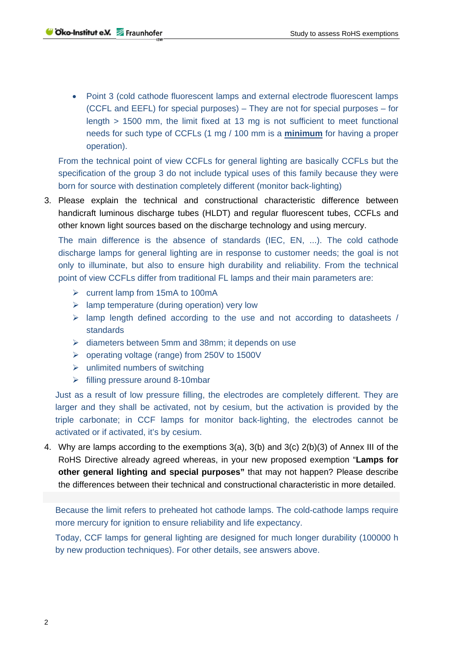• Point 3 (cold cathode fluorescent lamps and external electrode fluorescent lamps (CCFL and EEFL) for special purposes) – They are not for special purposes – for length > 1500 mm, the limit fixed at 13 mg is not sufficient to meet functional needs for such type of CCFLs (1 mg / 100 mm is a **minimum** for having a proper operation).

From the technical point of view CCFLs for general lighting are basically CCFLs but the specification of the group 3 do not include typical uses of this family because they were born for source with destination completely different (monitor back-lighting)

3. Please explain the technical and constructional characteristic difference between handicraft luminous discharge tubes (HLDT) and regular fluorescent tubes, CCFLs and other known light sources based on the discharge technology and using mercury.

The main difference is the absence of standards (IEC, EN, ...). The cold cathode discharge lamps for general lighting are in response to customer needs; the goal is not only to illuminate, but also to ensure high durability and reliability. From the technical point of view CCFLs differ from traditional FL lamps and their main parameters are:

- $\triangleright$  current lamp from 15mA to 100mA
- $\triangleright$  lamp temperature (during operation) very low
- $\triangleright$  lamp length defined according to the use and not according to datasheets / standards
- $\triangleright$  diameters between 5mm and 38mm; it depends on use
- operating voltage (range) from 250V to 1500V
- $\triangleright$  unlimited numbers of switching
- $\triangleright$  filling pressure around 8-10mbar

Just as a result of low pressure filling, the electrodes are completely different. They are larger and they shall be activated, not by cesium, but the activation is provided by the triple carbonate; in CCF lamps for monitor back-lighting, the electrodes cannot be activated or if activated, it's by cesium.

4. Why are lamps according to the exemptions 3(a), 3(b) and 3(c) 2(b)(3) of Annex III of the RoHS Directive already agreed whereas, in your new proposed exemption "**Lamps for other general lighting and special purposes"** that may not happen? Please describe the differences between their technical and constructional characteristic in more detailed.

Because the limit refers to preheated hot cathode lamps. The cold-cathode lamps require more mercury for ignition to ensure reliability and life expectancy.

Today, CCF lamps for general lighting are designed for much longer durability (100000 h by new production techniques). For other details, see answers above.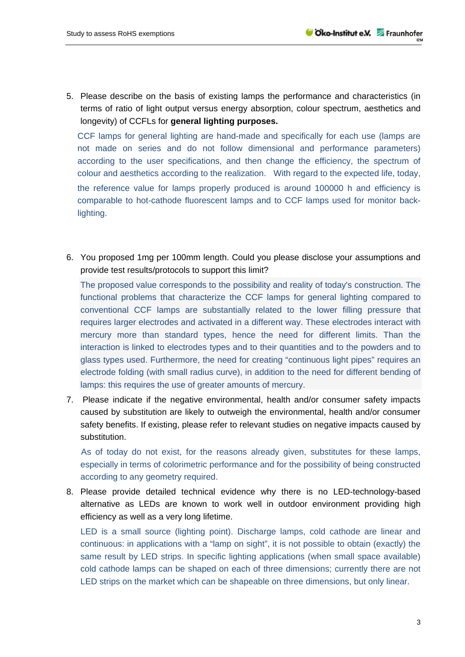5. Please describe on the basis of existing lamps the performance and characteristics (in terms of ratio of light output versus energy absorption, colour spectrum, aesthetics and longevity) of CCFLs for **general lighting purposes.**

CCF lamps for general lighting are hand-made and specifically for each use (lamps are not made on series and do not follow dimensional and performance parameters) according to the user specifications, and then change the efficiency, the spectrum of colour and aesthetics according to the realization. With regard to the expected life, today, the reference value for lamps properly produced is around 100000 h and efficiency is comparable to hot-cathode fluorescent lamps and to CCF lamps used for monitor backlighting.

6. You proposed 1mg per 100mm length. Could you please disclose your assumptions and provide test results/protocols to support this limit?

The proposed value corresponds to the possibility and reality of today's construction. The functional problems that characterize the CCF lamps for general lighting compared to conventional CCF lamps are substantially related to the lower filling pressure that requires larger electrodes and activated in a different way. These electrodes interact with mercury more than standard types, hence the need for different limits. Than the interaction is linked to electrodes types and to their quantities and to the powders and to glass types used. Furthermore, the need for creating "continuous light pipes" requires an electrode folding (with small radius curve), in addition to the need for different bending of lamps: this requires the use of greater amounts of mercury.

7. Please indicate if the negative environmental, health and/or consumer safety impacts caused by substitution are likely to outweigh the environmental, health and/or consumer safety benefits. If existing, please refer to relevant studies on negative impacts caused by substitution.

 As of today do not exist, for the reasons already given, substitutes for these lamps, especially in terms of colorimetric performance and for the possibility of being constructed according to any geometry required.

8. Please provide detailed technical evidence why there is no LED-technology-based alternative as LEDs are known to work well in outdoor environment providing high efficiency as well as a very long lifetime.

LED is a small source (lighting point). Discharge lamps, cold cathode are linear and continuous: in applications with a "lamp on sight", it is not possible to obtain (exactly) the same result by LED strips. In specific lighting applications (when small space available) cold cathode lamps can be shaped on each of three dimensions; currently there are not LED strips on the market which can be shapeable on three dimensions, but only linear.